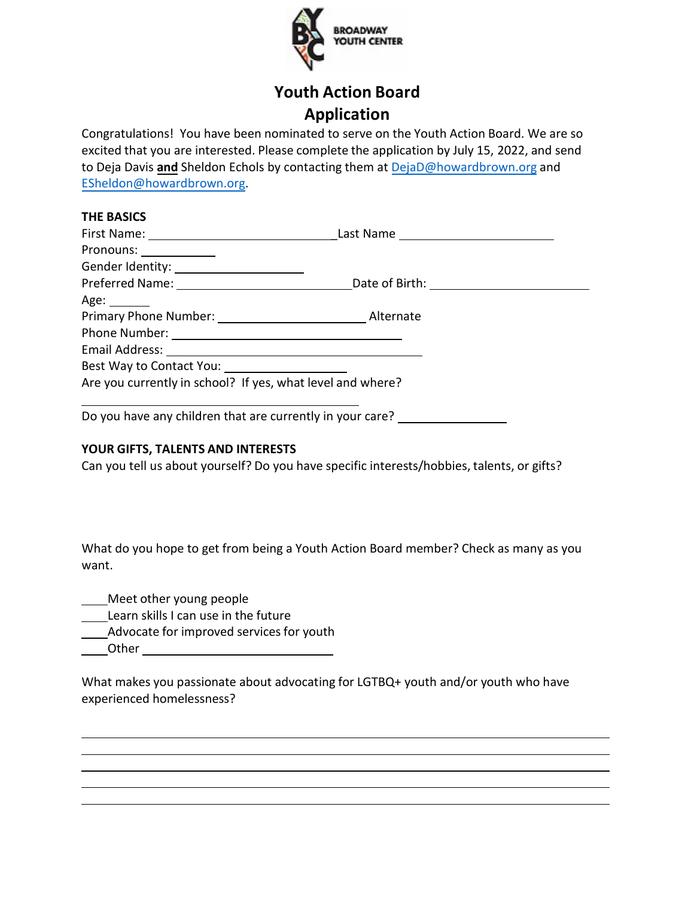

# **Youth Action Board Application**

Congratulations! You have been nominated to serve on the Youth Action Board. We are so excited that you are interested. Please complete the application by July 15, 2022, and send to Deja Davis **and** Sheldon Echols by contacting them at [DejaD@howardb](mailto:DejaD@howardbrown.org)rown.org and [ESheldon@howardbrown.org.](mailto:ESheldon@howardbrown.org)

## **THE BASICS**

| Pronouns: _____________                                    |           |  |  |
|------------------------------------------------------------|-----------|--|--|
|                                                            |           |  |  |
|                                                            |           |  |  |
| Age:                                                       |           |  |  |
| Primary Phone Number: 1997                                 | Alternate |  |  |
|                                                            |           |  |  |
|                                                            |           |  |  |
|                                                            |           |  |  |
| Are you currently in school? If yes, what level and where? |           |  |  |

Do you have any children that are currently in your care? \_\_\_\_\_\_\_\_\_\_\_\_\_\_\_\_\_\_\_\_\_\_

# **YOUR GIFTS, TALENTS AND INTERESTS**

Can you tell us about yourself? Do you have specific interests/hobbies, talents, or gifts?

What do you hope to get from being a Youth Action Board member? Check as many as you want.

**Meet other young people** 

- Learn skills I can use in the future
- Advocate for improved services for youth
- **Other Community**

What makes you passionate about advocating for LGTBQ+ youth and/or youth who have experienced homelessness?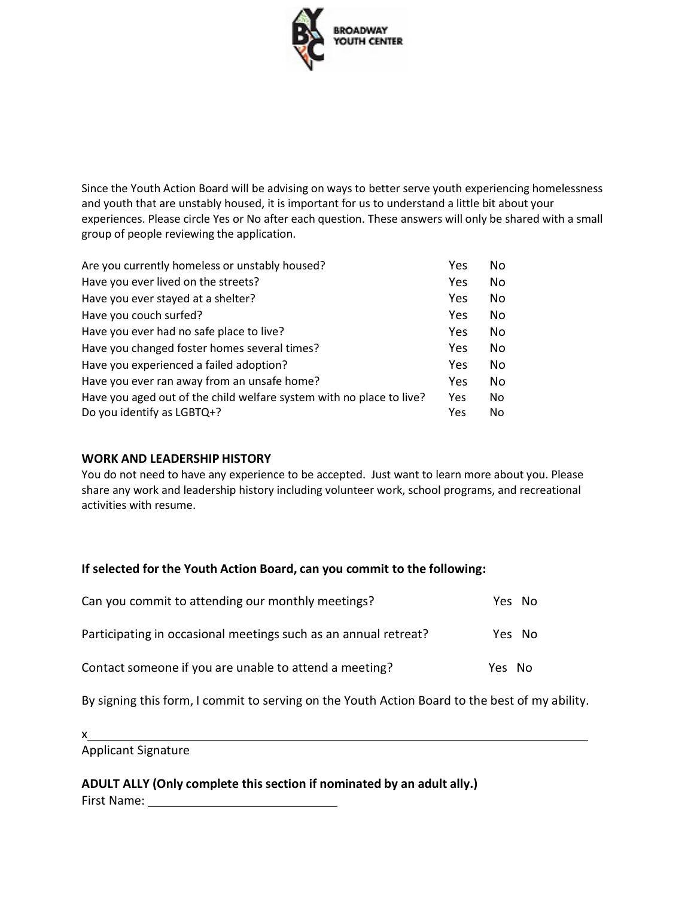

Since the Youth Action Board will be advising on ways to better serve youth experiencing homelessness and youth that are unstably housed, it is important for us to understand a little bit about your experiences. Please circle Yes or No after each question. These answers will only be shared with a small group of people reviewing the application.

| Are you currently homeless or unstably housed?                       | Yes        | No. |
|----------------------------------------------------------------------|------------|-----|
| Have you ever lived on the streets?                                  | Yes        | No. |
| Have you ever stayed at a shelter?                                   | Yes        | No. |
| Have you couch surfed?                                               | Yes        | No. |
| Have you ever had no safe place to live?                             | Yes        | No. |
| Have you changed foster homes several times?                         | Yes        | No. |
| Have you experienced a failed adoption?                              | Yes        | No. |
| Have you ever ran away from an unsafe home?                          | <b>Yes</b> | No. |
| Have you aged out of the child welfare system with no place to live? | <b>Yes</b> | No. |
| Do you identify as LGBTQ+?                                           | Yes        | No. |

### **WORK AND LEADERSHIP HISTORY**

You do not need to have any experience to be accepted. Just want to learn more about you. Please share any work and leadership history including volunteer work, school programs, and recreational activities with resume.

#### **If selected for the Youth Action Board, can you commit to the following:**

| Can you commit to attending our monthly meetings?               | Yes No |  |
|-----------------------------------------------------------------|--------|--|
| Participating in occasional meetings such as an annual retreat? | Yes No |  |
| Contact someone if you are unable to attend a meeting?          | Yes No |  |

By signing this form, I commit to serving on the Youth Action Board to the best of my ability.

x

Applicant Signature

**ADULT ALLY (Only complete this section if nominated by an adult ally.)**

First Name: